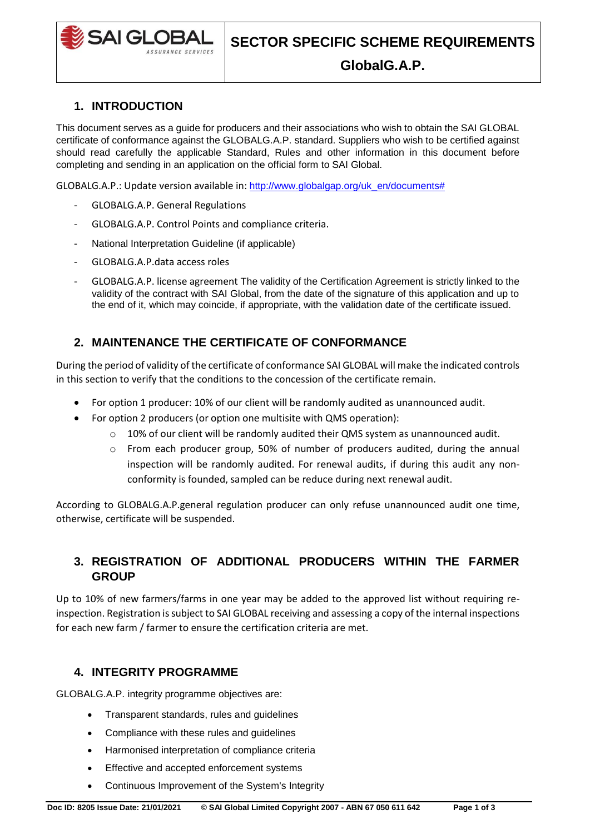

## **1. INTRODUCTION**

This document serves as a guide for producers and their associations who wish to obtain the SAI GLOBAL certificate of conformance against the GLOBALG.A.P. standard. Suppliers who wish to be certified against should read carefully the applicable Standard, Rules and other information in this document before completing and sending in an application on the official form to SAI Global.

GLOBALG.A.P.: Update version available in: [http://www.globalgap.org/uk\\_en/documents#](http://www.globalgap.org/uk_en/documents)

- GLOBALG.A.P. General Regulations
- GLOBALG.A.P. Control Points and compliance criteria.
- National Interpretation Guideline (if applicable)
- GLOBALG.A.P.data access roles
- GLOBALG.A.P. license agreement The validity of the Certification Agreement is strictly linked to the validity of the contract with SAI Global, from the date of the signature of this application and up to the end of it, which may coincide, if appropriate, with the validation date of the certificate issued.

## **2. MAINTENANCE THE CERTIFICATE OF CONFORMANCE**

During the period of validity of the certificate of conformance SAI GLOBAL will make the indicated controls in this section to verify that the conditions to the concession of the certificate remain.

- For option 1 producer: 10% of our client will be randomly audited as unannounced audit.
- For option 2 producers (or option one multisite with QMS operation):
	- $\circ$  10% of our client will be randomly audited their QMS system as unannounced audit.
	- $\circ$  From each producer group, 50% of number of producers audited, during the annual inspection will be randomly audited. For renewal audits, if during this audit any nonconformity is founded, sampled can be reduce during next renewal audit.

According to GLOBALG.A.P.general regulation producer can only refuse unannounced audit one time, otherwise, certificate will be suspended.

## **3. REGISTRATION OF ADDITIONAL PRODUCERS WITHIN THE FARMER GROUP**

Up to 10% of new farmers/farms in one year may be added to the approved list without requiring reinspection. Registration is subject to SAI GLOBAL receiving and assessing a copy of the internal inspections for each new farm / farmer to ensure the certification criteria are met.

## **4. INTEGRITY PROGRAMME**

GLOBALG.A.P. integrity programme objectives are:

- Transparent standards, rules and guidelines
- Compliance with these rules and guidelines
- Harmonised interpretation of compliance criteria
- Effective and accepted enforcement systems
- Continuous Improvement of the System's Integrity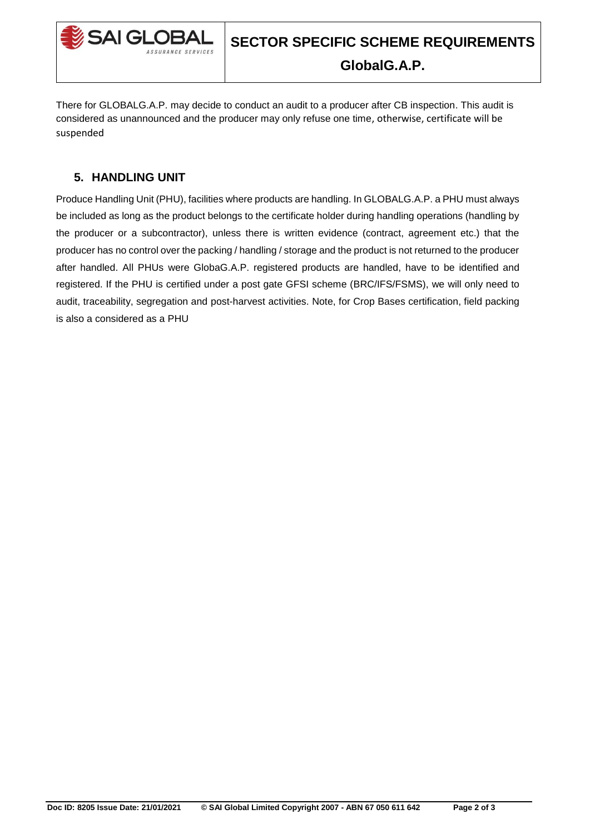

There for GLOBALG.A.P. may decide to conduct an audit to a producer after CB inspection. This audit is considered as unannounced and the producer may only refuse one time, otherwise, certificate will be suspended

# **5. HANDLING UNIT**

Produce Handling Unit (PHU), facilities where products are handling. In GLOBALG.A.P. a PHU must always be included as long as the product belongs to the certificate holder during handling operations (handling by the producer or a subcontractor), unless there is written evidence (contract, agreement etc.) that the producer has no control over the packing / handling / storage and the product is not returned to the producer after handled. All PHUs were GlobaG.A.P. registered products are handled, have to be identified and registered. If the PHU is certified under a post gate GFSI scheme (BRC/IFS/FSMS), we will only need to audit, traceability, segregation and post-harvest activities. Note, for Crop Bases certification, field packing is also a considered as a PHU